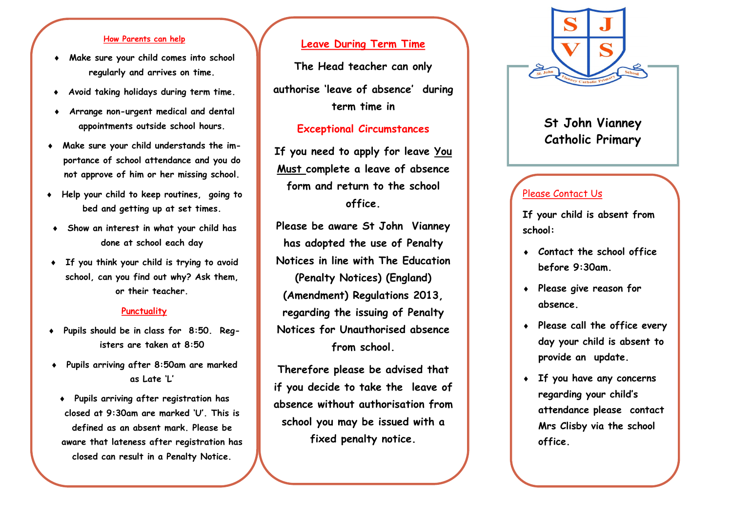## **How Parents can help**

- **Make sure your child comes into school regularly and arrives on time.**
- **Avoid taking holidays during term time.**
- **Arrange non-urgent medical and dental appointments outside school hours.**
- **Make sure your child understands the importance of school attendance and you do not approve of him or her missing school.**
- **Help your child to keep routines, going to bed and getting up at set times.**
- **Show an interest in what your child has done at school each day**
- **If you think your child is trying to avoid school, can you find out why? Ask them, or their teacher.**

### **Punctuality**

- **Pupils should be in class for 8:50. Registers are taken at 8:50**
- **Pupils arriving after 8:50am are marked as Late 'L'**
- **Pupils arriving after registration has closed at 9:30am are marked 'U'. This is defined as an absent mark. Please be aware that lateness after registration has closed can result in a Penalty Notice.**

# **Leave During Term Time**

**The Head teacher can only authorise 'leave of absence' during term time in** 

# **Exceptional Circumstances**

**If you need to apply for leave You Must complete a leave of absence form and return to the school office.**

**Please be aware St John Vianney has adopted the use of Penalty Notices in line with The Education (Penalty Notices) (England) (Amendment) Regulations 2013, regarding the issuing of Penalty Notices for Unauthorised absence from school.**

**Therefore please be advised that if you decide to take the leave of absence without authorisation from school you may be issued with a fixed penalty notice.**



# **St John Vianney Catholic Primary**

# Please Contact Us

**If your child is absent from school:**

- **Contact the school office before 9:30am.**
- **Please give reason for absence.**
- **Please call the office every day your child is absent to provide an update.**
- **If you have any concerns regarding your child's attendance please contact Mrs Clisby via the school office.**